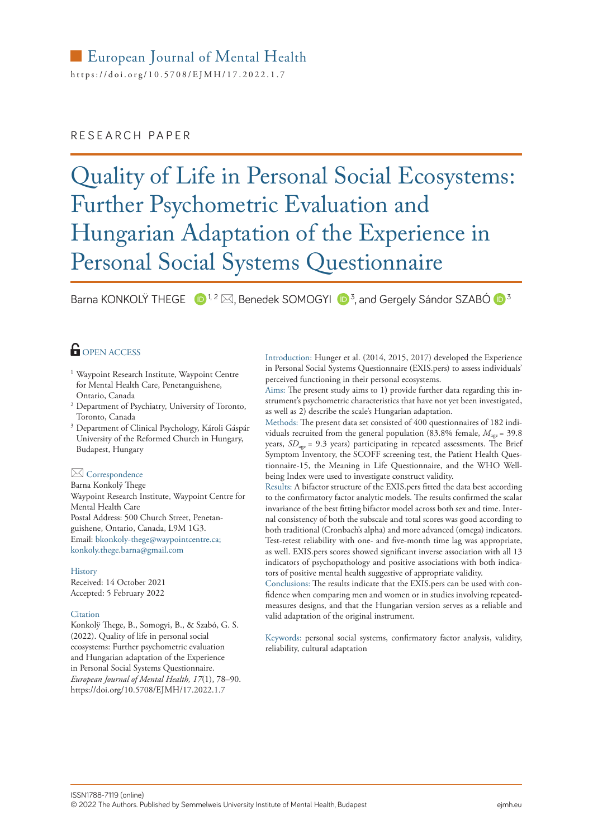# European Journal of Mental Health

https://<doi.org/10.5708/EJMH>/17.2022.1.7

# RESEARCH PAPER

# Quality of Life in Personal Social Ecosystems: Further Psychometric Evaluation and Hungarian Adaptation of the Experience in Personal Social Systems Questionnaire

Barna KONKOLŸ THEGE  $\Box$ <sup>1, 2</sup>  $\boxtimes$ , Benedek SOMOGYI  $\Box$ <sup>3</sup>, and [Gergely Sándor SZABÓ](https://orcid.org/0000-0002-3904-1593)  $\Box$ <sup>3</sup>

# **OPEN ACCESS**

- <sup>1</sup> Waypoint Research Institute, Waypoint Centre for Mental Health Care, Penetanguishene, Ontario, Canada
- <sup>2</sup> Department of Psychiatry, University of Toronto, Toronto, Canada
- <sup>3</sup> Department of Clinical Psychology, Károli Gáspár University of the Reformed Church in Hungary, Budapest, Hungary

## $\boxtimes$  Correspondence

Barna Konkolÿ Thege Waypoint Research Institute, Waypoint Centre for Mental Health Care Postal Address: 500 Church Street, Penetanguishene, Ontario, Canada, L9M 1G3. Email: [bkonkoly-thege@waypointcentre.ca;](mailto:bkonkoly-thege%40waypointcentre.ca?subject=) [konkoly.thege.barna@gmail.com](mailto:konkoly.thege.barna%40gmail.com?subject=)

#### **History**

Received: 14 October 2021 Accepted: 5 February 2022

#### **Citation**

Konkolÿ Thege, B., Somogyi, B., & Szabó, G. S. (2022). Quality of life in personal social ecosystems: Further psychometric evaluation and Hungarian adaptation of the Experience in Personal Social Systems Questionnaire. *European Journal of Mental Health, 17*(1), 78–90. https://doi.org/10.5708/EJMH/17.2022.1.7

Introduction: Hunger et al. (2014, 2015, 2017) developed the Experience in Personal Social Systems Questionnaire (EXIS.pers) to assess individuals' perceived functioning in their personal ecosystems.

Aims: The present study aims to 1) provide further data regarding this instrument's psychometric characteristics that have not yet been investigated, as well as 2) describe the scale's Hungarian adaptation.

Methods: The present data set consisted of 400 questionnaires of 182 individuals recruited from the general population (83.8% female,  $M_{\text{acc}} = 39.8$ ) years, *SD<sub>age</sub>* = 9.3 years) participating in repeated assessments. The Brief Symptom Inventory, the SCOFF screening test, the Patient Health Questionnaire-15, the Meaning in Life Questionnaire, and the WHO Wellbeing Index were used to investigate construct validity.

Results: A bifactor structure of the EXIS.pers fitted the data best according to the confirmatory factor analytic models. The results confirmed the scalar invariance of the best fitting bifactor model across both sex and time. Internal consistency of both the subscale and total scores was good according to both traditional (Cronbach's alpha) and more advanced (omega) indicators. Test-retest reliability with one- and five-month time lag was appropriate, as well. EXIS.pers scores showed significant inverse association with all 13 indicators of psychopathology and positive associations with both indicators of positive mental health suggestive of appropriate validity.

Conclusions: The results indicate that the EXIS.pers can be used with confidence when comparing men and women or in studies involving repeatedmeasures designs, and that the Hungarian version serves as a reliable and valid adaptation of the original instrument.

Keywords: personal social systems, confirmatory factor analysis, validity, reliability, cultural adaptation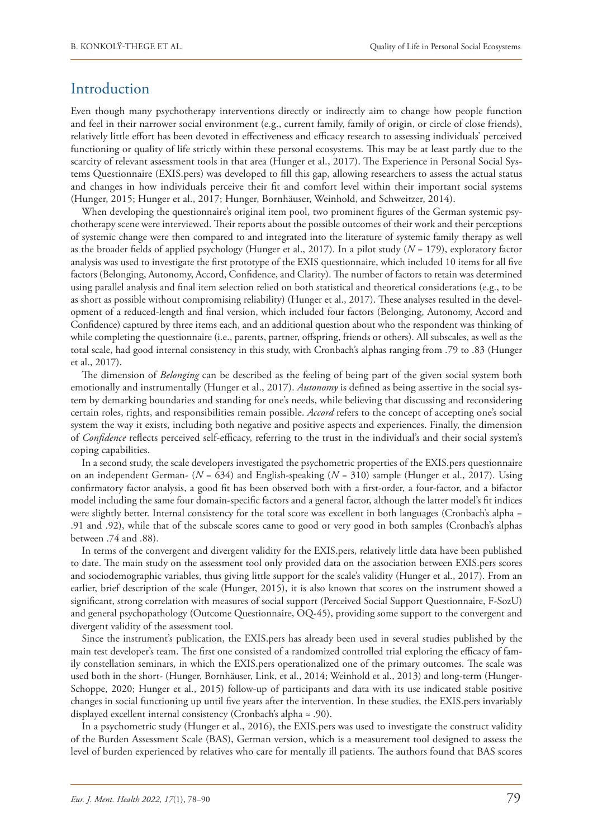# Introduction

Even though many psychotherapy interventions directly or indirectly aim to change how people function and feel in their narrower social environment (e.g., current family, family of origin, or circle of close friends), relatively little effort has been devoted in effectiveness and efficacy research to assessing individuals' perceived functioning or quality of life strictly within these personal ecosystems. This may be at least partly due to the scarcity of relevant assessment tools in that area (Hunger et al., 2017). The Experience in Personal Social Systems Questionnaire (EXIS.pers) was developed to fill this gap, allowing researchers to assess the actual status and changes in how individuals perceive their fit and comfort level within their important social systems (Hunger, 2015; Hunger et al., 2017; Hunger, Bornhäuser, Weinhold, and Schweitzer, 2014).

When developing the questionnaire's original item pool, two prominent figures of the German systemic psychotherapy scene were interviewed. Their reports about the possible outcomes of their work and their perceptions of systemic change were then compared to and integrated into the literature of systemic family therapy as well as the broader fields of applied psychology (Hunger et al., 2017). In a pilot study (*N* = 179), exploratory factor analysis was used to investigate the first prototype of the EXIS questionnaire, which included 10 items for all five factors (Belonging, Autonomy, Accord, Confidence, and Clarity). The number of factors to retain was determined using parallel analysis and final item selection relied on both statistical and theoretical considerations (e.g., to be as short as possible without compromising reliability) (Hunger et al., 2017). These analyses resulted in the development of a reduced-length and final version, which included four factors (Belonging, Autonomy, Accord and Confidence) captured by three items each, and an additional question about who the respondent was thinking of while completing the questionnaire (i.e., parents, partner, offspring, friends or others). All subscales, as well as the total scale, had good internal consistency in this study, with Cronbach's alphas ranging from .79 to .83 (Hunger et al., 2017).

The dimension of *Belonging* can be described as the feeling of being part of the given social system both emotionally and instrumentally (Hunger et al., 2017). *Autonomy* is defined as being assertive in the social system by demarking boundaries and standing for one's needs, while believing that discussing and reconsidering certain roles, rights, and responsibilities remain possible. *Accord* refers to the concept of accepting one's social system the way it exists, including both negative and positive aspects and experiences. Finally, the dimension of *Confidence* reflects perceived self-efficacy, referring to the trust in the individual's and their social system's coping capabilities.

In a second study, the scale developers investigated the psychometric properties of the EXIS.pers questionnaire on an independent German- (*N* = 634) and English-speaking (*N* = 310) sample (Hunger et al., 2017). Using confirmatory factor analysis, a good fit has been observed both with a first-order, a four-factor, and a bifactor model including the same four domain-specific factors and a general factor, although the latter model's fit indices were slightly better. Internal consistency for the total score was excellent in both languages (Cronbach's alpha = .91 and .92), while that of the subscale scores came to good or very good in both samples (Cronbach's alphas between .74 and .88).

In terms of the convergent and divergent validity for the EXIS.pers, relatively little data have been published to date. The main study on the assessment tool only provided data on the association between EXIS.pers scores and sociodemographic variables, thus giving little support for the scale's validity (Hunger et al., 2017). From an earlier, brief description of the scale (Hunger, 2015), it is also known that scores on the instrument showed a significant, strong correlation with measures of social support (Perceived Social Support Questionnaire, F-SozU) and general psychopathology (Outcome Questionnaire, OQ-45), providing some support to the convergent and divergent validity of the assessment tool.

Since the instrument's publication, the EXIS.pers has already been used in several studies published by the main test developer's team. The first one consisted of a randomized controlled trial exploring the efficacy of family constellation seminars, in which the EXIS.pers operationalized one of the primary outcomes. The scale was used both in the short- (Hunger, Bornhäuser, Link, et al., 2014; Weinhold et al., 2013) and long-term (Hunger-Schoppe, 2020; Hunger et al., 2015) follow-up of participants and data with its use indicated stable positive changes in social functioning up until five years after the intervention. In these studies, the EXIS.pers invariably displayed excellent internal consistency (Cronbach's alpha ≈ .90).

In a psychometric study (Hunger et al., 2016), the EXIS.pers was used to investigate the construct validity of the Burden Assessment Scale (BAS), German version, which is a measurement tool designed to assess the level of burden experienced by relatives who care for mentally ill patients. The authors found that BAS scores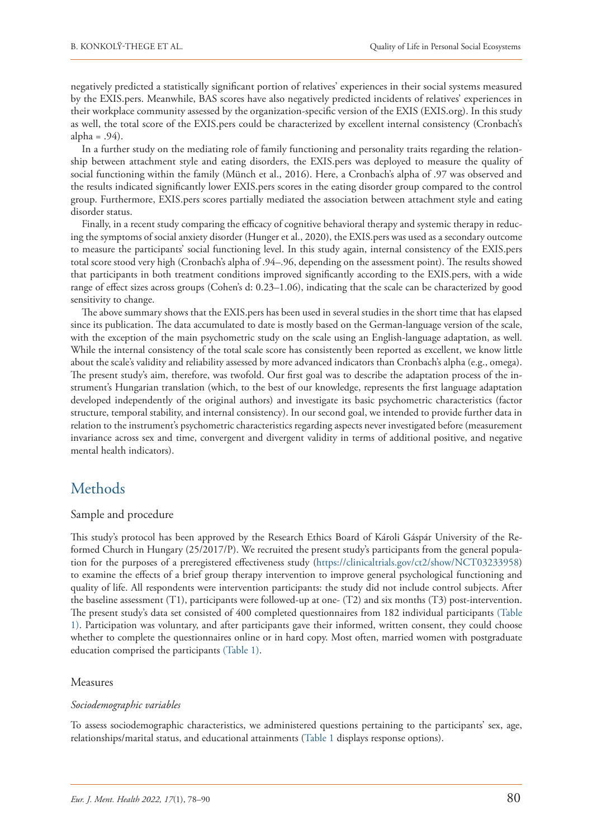negatively predicted a statistically significant portion of relatives' experiences in their social systems measured by the EXIS.pers. Meanwhile, BAS scores have also negatively predicted incidents of relatives' experiences in their workplace community assessed by the organization-specific version of the EXIS (EXIS.org). In this study as well, the total score of the EXIS.pers could be characterized by excellent internal consistency (Cronbach's alpha =  $.94$ ).

In a further study on the mediating role of family functioning and personality traits regarding the relationship between attachment style and eating disorders, the EXIS.pers was deployed to measure the quality of social functioning within the family (Münch et al., 2016). Here, a Cronbach's alpha of .97 was observed and the results indicated significantly lower EXIS.pers scores in the eating disorder group compared to the control group. Furthermore, EXIS.pers scores partially mediated the association between attachment style and eating disorder status.

Finally, in a recent study comparing the efficacy of cognitive behavioral therapy and systemic therapy in reducing the symptoms of social anxiety disorder (Hunger et al., 2020), the EXIS.pers was used as a secondary outcome to measure the participants' social functioning level. In this study again, internal consistency of the EXIS.pers total score stood very high (Cronbach's alpha of .94–.96, depending on the assessment point). The results showed that participants in both treatment conditions improved significantly according to the EXIS.pers, with a wide range of effect sizes across groups (Cohen's d: 0.23–1.06), indicating that the scale can be characterized by good sensitivity to change.

The above summary shows that the EXIS.pers has been used in several studies in the short time that has elapsed since its publication. The data accumulated to date is mostly based on the German-language version of the scale, with the exception of the main psychometric study on the scale using an English-language adaptation, as well. While the internal consistency of the total scale score has consistently been reported as excellent, we know little about the scale's validity and reliability assessed by more advanced indicators than Cronbach's alpha (e.g., omega). The present study's aim, therefore, was twofold. Our first goal was to describe the adaptation process of the instrument's Hungarian translation (which, to the best of our knowledge, represents the first language adaptation developed independently of the original authors) and investigate its basic psychometric characteristics (factor structure, temporal stability, and internal consistency). In our second goal, we intended to provide further data in relation to the instrument's psychometric characteristics regarding aspects never investigated before (measurement invariance across sex and time, convergent and divergent validity in terms of additional positive, and negative mental health indicators).

# **Methods**

## Sample and procedure

This study's protocol has been approved by the Research Ethics Board of Károli Gáspár University of the Reformed Church in Hungary (25/2017/P). We recruited the present study's participants from the general population for the purposes of a preregistered effectiveness study (<https://clinicaltrials.gov/ct2/show/NCT03233958>) to examine the effects of a brief group therapy intervention to improve general psychological functioning and quality of life. All respondents were intervention participants: the study did not include control subjects. After the baseline assessment (T1), participants were followed-up at one- (T2) and six months (T3) post-intervention. The present study's data set consisted of 400 completed questionnaires from 182 individual participants (Table 1). Participation was voluntary, and after participants gave their informed, written consent, they could choose whether to complete the questionnaires online or in hard copy. Most often, married women with postgraduate education comprised the participants (Table 1).

## Measures

## *Sociodemographic variables*

To assess sociodemographic characteristics, we administered questions pertaining to the participants' sex, age, relationships/marital status, and educational attainments (Table 1 displays response options).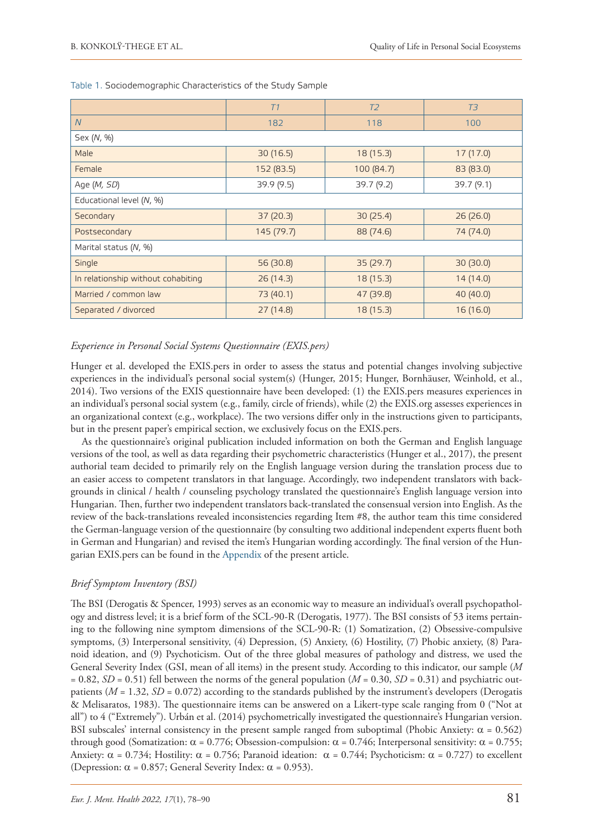|                                    | T1         | T <sub>2</sub> | T3         |  |  |  |  |  |
|------------------------------------|------------|----------------|------------|--|--|--|--|--|
| $\overline{N}$                     | 182        | 118            | 100        |  |  |  |  |  |
| Sex (N, %)                         |            |                |            |  |  |  |  |  |
| Male                               | 30(16.5)   | 18 (15.3)      | 17(17.0)   |  |  |  |  |  |
| Female                             | 152 (83.5) | 100 (84.7)     | 83 (83.0)  |  |  |  |  |  |
| Age ( <i>M, SD</i> )               | 39.9 (9.5) | 39.7(9.2)      | 39.7 (9.1) |  |  |  |  |  |
| Educational level (N, %)           |            |                |            |  |  |  |  |  |
| Secondary                          | 37(20.3)   | 30(25.4)       | 26(26.0)   |  |  |  |  |  |
| Postsecondary                      | 145 (79.7) | 88 (74.6)      | 74 (74.0)  |  |  |  |  |  |
| Marital status (N, %)              |            |                |            |  |  |  |  |  |
| Single                             | 56 (30.8)  | 35(29.7)       | 30(30.0)   |  |  |  |  |  |
| In relationship without cohabiting | 26(14.3)   | 18 (15.3)      | 14 (14.0)  |  |  |  |  |  |
| Married / common law               | 73 (40.1)  | 47 (39.8)      | 40 (40.0)  |  |  |  |  |  |
| Separated / divorced               | 27(14.8)   | 18 (15.3)      | 16 (16.0)  |  |  |  |  |  |

#### Table 1. Sociodemographic Characteristics of the Study Sample

## *Experience in Personal Social Systems Questionnaire (EXIS.pers)*

Hunger et al. developed the EXIS.pers in order to assess the status and potential changes involving subjective experiences in the individual's personal social system(s) (Hunger, 2015; Hunger, Bornhäuser, Weinhold, et al., 2014). Two versions of the EXIS questionnaire have been developed: (1) the EXIS.pers measures experiences in an individual's personal social system (e.g., family, circle of friends), while (2) the EXIS.org assesses experiences in an organizational context (e.g., workplace). The two versions differ only in the instructions given to participants, but in the present paper's empirical section, we exclusively focus on the EXIS.pers.

As the questionnaire's original publication included information on both the German and English language versions of the tool, as well as data regarding their psychometric characteristics (Hunger et al., 2017), the present authorial team decided to primarily rely on the English language version during the translation process due to an easier access to competent translators in that language. Accordingly, two independent translators with backgrounds in clinical / health / counseling psychology translated the questionnaire's English language version into Hungarian. Then, further two independent translators back-translated the consensual version into English. As the review of the back-translations revealed inconsistencies regarding Item #8, the author team this time considered the German-language version of the questionnaire (by consulting two additional independent experts fluent both in German and Hungarian) and revised the item's Hungarian wording accordingly. The final version of the Hungarian EXIS.pers can be found in the Appendix of the present article.

## *Brief Symptom Inventory (BSI)*

The BSI (Derogatis & Spencer, 1993) serves as an economic way to measure an individual's overall psychopathology and distress level; it is a brief form of the SCL-90-R (Derogatis, 1977). The BSI consists of 53 items pertaining to the following nine symptom dimensions of the SCL-90-R: (1) Somatization, (2) Obsessive-compulsive symptoms, (3) Interpersonal sensitivity, (4) Depression, (5) Anxiety, (6) Hostility, (7) Phobic anxiety, (8) Paranoid ideation, and (9) Psychoticism. Out of the three global measures of pathology and distress, we used the General Severity Index (GSI, mean of all items) in the present study. According to this indicator, our sample (*M*  $= 0.82$ , *SD* = 0.51) fell between the norms of the general population (*M* = 0.30, *SD* = 0.31) and psychiatric outpatients ( $M = 1.32$ ,  $SD = 0.072$ ) according to the standards published by the instrument's developers (Derogatis & Melisaratos, 1983). The questionnaire items can be answered on a Likert-type scale ranging from 0 ("Not at all") to 4 ("Extremely"). Urbán et al. (2014) psychometrically investigated the questionnaire's Hungarian version. BSI subscales' internal consistency in the present sample ranged from suboptimal (Phobic Anxiety:  $\alpha = 0.562$ ) through good (Somatization: α = 0.776; Obsession-compulsion: α = 0.746; Interpersonal sensitivity: α = 0.755; Anxiety:  $\alpha = 0.734$ ; Hostility:  $\alpha = 0.756$ ; Paranoid ideation:  $\alpha = 0.744$ ; Psychoticism:  $\alpha = 0.727$ ) to excellent (Depression:  $\alpha$  = 0.857; General Severity Index:  $\alpha$  = 0.953).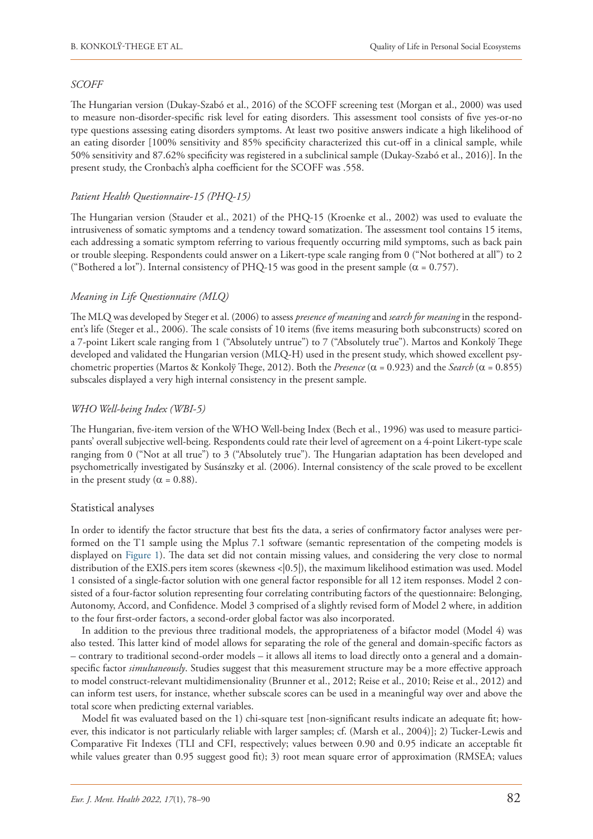## *SCOFF*

The Hungarian version (Dukay-Szabó et al., 2016) of the SCOFF screening test (Morgan et al., 2000) was used to measure non-disorder-specific risk level for eating disorders. This assessment tool consists of five yes-or-no type questions assessing eating disorders symptoms. At least two positive answers indicate a high likelihood of an eating disorder [100% sensitivity and 85% specificity characterized this cut-off in a clinical sample, while 50% sensitivity and 87.62% specificity was registered in a subclinical sample (Dukay-Szabó et al., 2016)]. In the present study, the Cronbach's alpha coefficient for the SCOFF was .558.

## *Patient Health Questionnaire-15 (PHQ-15)*

The Hungarian version (Stauder et al., 2021) of the PHQ-15 (Kroenke et al., 2002) was used to evaluate the intrusiveness of somatic symptoms and a tendency toward somatization. The assessment tool contains 15 items, each addressing a somatic symptom referring to various frequently occurring mild symptoms, such as back pain or trouble sleeping. Respondents could answer on a Likert-type scale ranging from 0 ("Not bothered at all") to 2 ("Bothered a lot"). Internal consistency of PHQ-15 was good in the present sample ( $\alpha$  = 0.757).

## *Meaning in Life Questionnaire (MLQ)*

The MLQ was developed by Steger et al. (2006) to assess *presence of meaning* and *search for meaning* in the respondent's life (Steger et al., 2006). The scale consists of 10 items (five items measuring both subconstructs) scored on a 7-point Likert scale ranging from 1 ("Absolutely untrue") to 7 ("Absolutely true"). Martos and Konkolÿ Thege developed and validated the Hungarian version (MLQ-H) used in the present study, which showed excellent psychometric properties (Martos & Konkolÿ Thege, 2012). Both the *Presence* (α = 0.923) and the *Search* (α = 0.855) subscales displayed a very high internal consistency in the present sample.

## *WHO Well-being Index (WBI-5)*

The Hungarian, five-item version of the WHO Well-being Index (Bech et al., 1996) was used to measure participants' overall subjective well-being. Respondents could rate their level of agreement on a 4-point Likert-type scale ranging from 0 ("Not at all true") to 3 ("Absolutely true"). The Hungarian adaptation has been developed and psychometrically investigated by Susánszky et al. (2006). Internal consistency of the scale proved to be excellent in the present study ( $\alpha = 0.88$ ).

## Statistical analyses

In order to identify the factor structure that best fits the data, a series of confirmatory factor analyses were performed on the T1 sample using the Mplus 7.1 software (semantic representation of the competing models is displayed on Figure 1). The data set did not contain missing values, and considering the very close to normal distribution of the EXIS.pers item scores (skewness <|0.5|), the maximum likelihood estimation was used. Model 1 consisted of a single-factor solution with one general factor responsible for all 12 item responses. Model 2 consisted of a four-factor solution representing four correlating contributing factors of the questionnaire: Belonging, Autonomy, Accord, and Confidence. Model 3 comprised of a slightly revised form of Model 2 where, in addition to the four first-order factors, a second-order global factor was also incorporated.

In addition to the previous three traditional models, the appropriateness of a bifactor model (Model 4) was also tested. This latter kind of model allows for separating the role of the general and domain-specific factors as – contrary to traditional second-order models – it allows all items to load directly onto a general and a domainspecific factor *simultaneously*. Studies suggest that this measurement structure may be a more effective approach to model construct-relevant multidimensionality (Brunner et al., 2012; Reise et al., 2010; Reise et al., 2012) and can inform test users, for instance, whether subscale scores can be used in a meaningful way over and above the total score when predicting external variables.

Model fit was evaluated based on the 1) chi-square test [non-significant results indicate an adequate fit; however, this indicator is not particularly reliable with larger samples; cf. (Marsh et al., 2004)]; 2) Tucker-Lewis and Comparative Fit Indexes (TLI and CFI, respectively; values between 0.90 and 0.95 indicate an acceptable fit while values greater than 0.95 suggest good fit); 3) root mean square error of approximation (RMSEA; values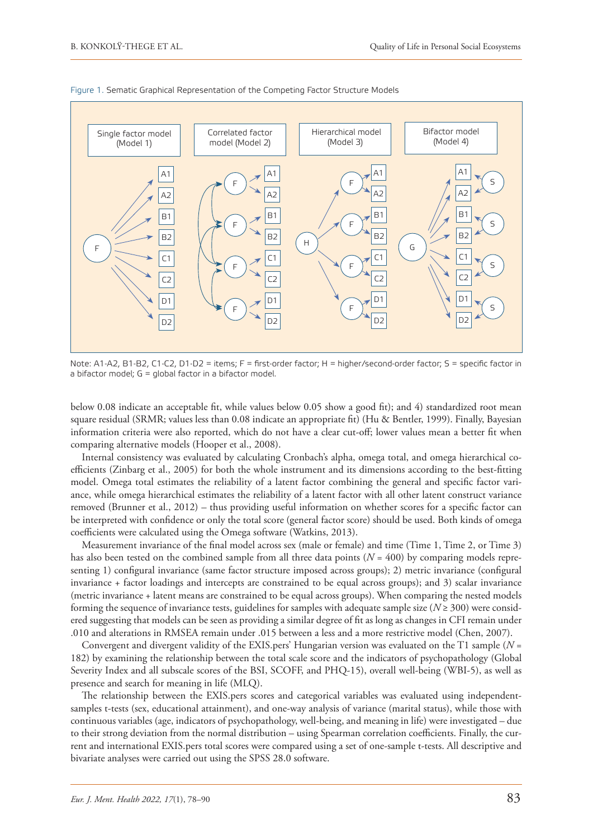

Figure 1. Sematic Graphical Representation of the Competing Factor Structure Models

Note: A1-A2, B1-B2, C1-C2, D1-D2 = items; F = first-order factor; H = higher/second-order factor; S = specific factor in a bifactor model; G = global factor in a bifactor model.

below 0.08 indicate an acceptable fit, while values below 0.05 show a good fit); and 4) standardized root mean square residual (SRMR; values less than 0.08 indicate an appropriate fit) (Hu & Bentler, 1999). Finally, Bayesian information criteria were also reported, which do not have a clear cut-off; lower values mean a better fit when comparing alternative models (Hooper et al., 2008).

Internal consistency was evaluated by calculating Cronbach's alpha, omega total, and omega hierarchical coefficients (Zinbarg et al., 2005) for both the whole instrument and its dimensions according to the best-fitting model. Omega total estimates the reliability of a latent factor combining the general and specific factor variance, while omega hierarchical estimates the reliability of a latent factor with all other latent construct variance removed (Brunner et al., 2012) – thus providing useful information on whether scores for a specific factor can be interpreted with confidence or only the total score (general factor score) should be used. Both kinds of omega coefficients were calculated using the Omega software (Watkins, 2013).

Measurement invariance of the final model across sex (male or female) and time (Time 1, Time 2, or Time 3) has also been tested on the combined sample from all three data points  $(N = 400)$  by comparing models representing 1) configural invariance (same factor structure imposed across groups); 2) metric invariance (configural invariance + factor loadings and intercepts are constrained to be equal across groups); and 3) scalar invariance (metric invariance + latent means are constrained to be equal across groups). When comparing the nested models forming the sequence of invariance tests, guidelines for samples with adequate sample size ( $N \ge 300$ ) were considered suggesting that models can be seen as providing a similar degree of fit as long as changes in CFI remain under .010 and alterations in RMSEA remain under .015 between a less and a more restrictive model (Chen, 2007).

Convergent and divergent validity of the EXIS.pers' Hungarian version was evaluated on the T1 sample (*N* = 182) by examining the relationship between the total scale score and the indicators of psychopathology (Global Severity Index and all subscale scores of the BSI, SCOFF, and PHQ-15), overall well-being (WBI-5), as well as presence and search for meaning in life (MLQ).

The relationship between the EXIS.pers scores and categorical variables was evaluated using independentsamples t-tests (sex, educational attainment), and one-way analysis of variance (marital status), while those with continuous variables (age, indicators of psychopathology, well-being, and meaning in life) were investigated – due to their strong deviation from the normal distribution – using Spearman correlation coefficients. Finally, the current and international EXIS.pers total scores were compared using a set of one-sample t-tests. All descriptive and bivariate analyses were carried out using the SPSS 28.0 software.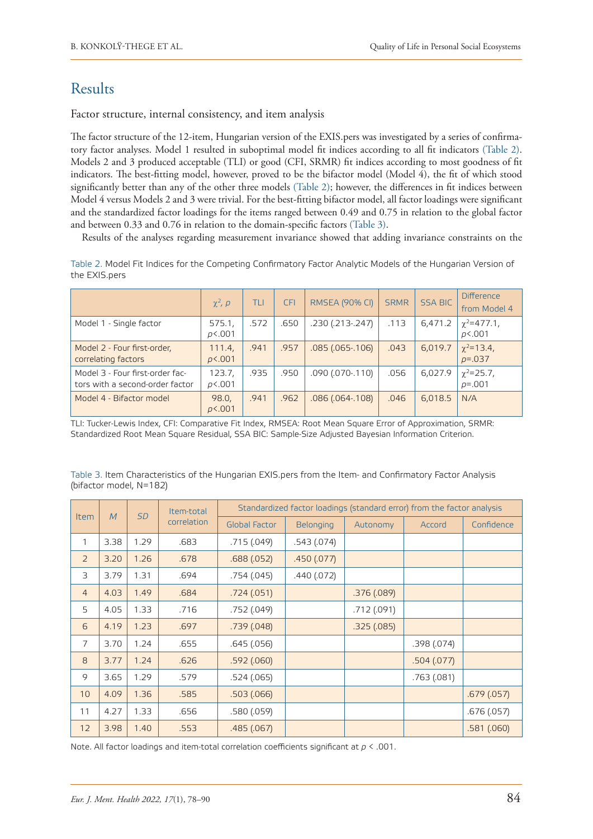# Results

Factor structure, internal consistency, and item analysis

The factor structure of the 12-item, Hungarian version of the EXIS.pers was investigated by a series of confirmatory factor analyses. Model 1 resulted in suboptimal model fit indices according to all fit indicators (Table 2). Models 2 and 3 produced acceptable (TLI) or good (CFI, SRMR) fit indices according to most goodness of fit indicators. The best-fitting model, however, proved to be the bifactor model (Model 4), the fit of which stood significantly better than any of the other three models (Table 2); however, the differences in fit indices between Model 4 versus Models 2 and 3 were trivial. For the best-fitting bifactor model, all factor loadings were significant and the standardized factor loadings for the items ranged between 0.49 and 0.75 in relation to the global factor and between 0.33 and 0.76 in relation to the domain-specific factors (Table 3).

Results of the analyses regarding measurement invariance showed that adding invariance constraints on the

Table 2. Model Fit Indices for the Competing Confirmatory Factor Analytic Models of the Hungarian Version of the EXIS.pers

|                                                                    | $\chi^2$ , $\rho$ | TLI  | <b>CFI</b> | <b>RMSEA (90% CI)</b>  | <b>SRMR</b> | <b>SSA BIC</b> | <b>Difference</b><br>from Model 4 |
|--------------------------------------------------------------------|-------------------|------|------------|------------------------|-------------|----------------|-----------------------------------|
| Model 1 - Single factor                                            | 575.1,<br>p<.001  | .572 | .650       | .230 (.213-.247)       | .113        | 6,471.2        | $\chi^2$ =477.1,<br>p<.001        |
| Model 2 - Four first-order,<br>correlating factors                 | 111.4,<br>p<.001  | .941 | .957       | $.085(.065-.106)$      | .043        | 6,019.7        | $\chi^2$ =13.4,<br>$p = 0.037$    |
| Model 3 - Four first-order fac-<br>tors with a second-order factor | 123.7,<br>p<.001  | .935 | .950       | .090 (.070-.110)       | .056        | 6,027.9        | $\chi^2 = 25.7$ ,<br>$p = 0.001$  |
| Model 4 - Bifactor model                                           | 98.0,<br>p<.001   | .941 | .962       | $.086$ $(.064 - .108)$ | .046        | 6,018.5        | N/A                               |

TLI: Tucker-Lewis Index, CFI: Comparative Fit Index, RMSEA: Root Mean Square Error of Approximation, SRMR: Standardized Root Mean Square Residual, SSA BIC: Sample-Size Adjusted Bayesian Information Criterion.

| Table 3. Item Characteristics of the Hungarian EXIS.pers from the Item- and Confirmatory Factor Analysis |  |  |  |  |
|----------------------------------------------------------------------------------------------------------|--|--|--|--|
| (bifactor model, N=182)                                                                                  |  |  |  |  |

|                | M    |           | Item-total  | Standardized factor loadings (standard error) from the factor analysis |             |            |             |            |  |  |  |
|----------------|------|-----------|-------------|------------------------------------------------------------------------|-------------|------------|-------------|------------|--|--|--|
| <b>Item</b>    |      | <b>SD</b> | correlation | <b>Global Factor</b>                                                   | Belonging   | Autonomy   | Accord      | Confidence |  |  |  |
| 1              | 3.38 | 1.29      | .683        | .715(.049)                                                             | .543 (.074) |            |             |            |  |  |  |
| $\overline{2}$ | 3.20 | 1.26      | .678        | .688(.052)                                                             | .450(077)   |            |             |            |  |  |  |
| 3              | 3.79 | 1.31      | .694        | .754(.045)                                                             | .440(.072)  |            |             |            |  |  |  |
| $\overline{4}$ | 4.03 | 1.49      | .684        | .724(.051)                                                             |             | .376(.089) |             |            |  |  |  |
| 5              | 4.05 | 1.33      | .716        | .752(.049)                                                             |             | .712(.091) |             |            |  |  |  |
| 6              | 4.19 | 1.23      | .697        | .739(.048)                                                             |             | .325(.085) |             |            |  |  |  |
| $\overline{7}$ | 3.70 | 1.24      | .655        | .645(.056)                                                             |             |            | .398 (.074) |            |  |  |  |
| 8              | 3.77 | 1.24      | .626        | .592(.060)                                                             |             |            | .504(.077)  |            |  |  |  |
| 9              | 3.65 | 1.29      | .579        | .524(.065)                                                             |             |            | .763(.081)  |            |  |  |  |
| 10             | 4.09 | 1.36      | .585        | .503(.066)                                                             |             |            |             | .679(.057) |  |  |  |
| 11             | 4.27 | 1.33      | .656        | .580(.059)                                                             |             |            |             | .676(.057) |  |  |  |
| 12             | 3.98 | 1.40      | .553        | .485(.067)                                                             |             |            |             | .581(.060) |  |  |  |

Note. All factor loadings and item-total correlation coefficients significant at *p* < .001.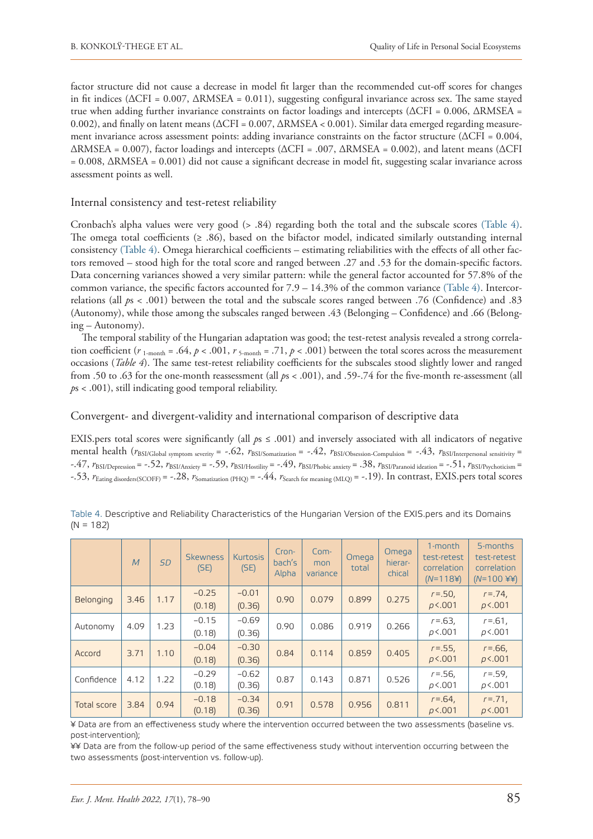factor structure did not cause a decrease in model fit larger than the recommended cut-off scores for changes in fit indices ( $\Delta$ CFI = 0.007,  $\Delta$ RMSEA = 0.011), suggesting configural invariance across sex. The same stayed true when adding further invariance constraints on factor loadings and intercepts (ΔCFI = 0.006, ΔRMSEA = 0.002), and finally on latent means (ΔCFI = 0.007, ΔRMSEA < 0.001). Similar data emerged regarding measurement invariance across assessment points: adding invariance constraints on the factor structure (ΔCFI = 0.004,  $\triangle$ RMSEA = 0.007), factor loadings and intercepts ( $\triangle$ CFI = .007,  $\triangle$ RMSEA = 0.002), and latent means ( $\triangle$ CFI = 0.008, ΔRMSEA = 0.001) did not cause a significant decrease in model fit, suggesting scalar invariance across assessment points as well.

## Internal consistency and test-retest reliability

Cronbach's alpha values were very good (> .84) regarding both the total and the subscale scores (Table 4). The omega total coefficients ( $\geq$  .86), based on the bifactor model, indicated similarly outstanding internal consistency (Table 4). Omega hierarchical coefficients – estimating reliabilities with the effects of all other factors removed – stood high for the total score and ranged between .27 and .53 for the domain-specific factors. Data concerning variances showed a very similar pattern: while the general factor accounted for 57.8% of the common variance, the specific factors accounted for  $7.9 - 14.3\%$  of the common variance (Table 4). Intercorrelations (all *p*s < .001) between the total and the subscale scores ranged between .76 (Confidence) and .83 (Autonomy), while those among the subscales ranged between .43 (Belonging – Confidence) and .66 (Belonging – Autonomy).

The temporal stability of the Hungarian adaptation was good; the test-retest analysis revealed a strong correlation coefficient ( $r_{1\text{-month}} = .64$ ,  $p < .001$ ,  $r_{5\text{-month}} = .71$ ,  $p < .001$ ) between the total scores across the measurement occasions (*Table 4*). The same test-retest reliability coefficients for the subscales stood slightly lower and ranged from .50 to .63 for the one-month reassessment (all *p*s < .001), and .59-.74 for the five-month re-assessment (all *p*s < .001), still indicating good temporal reliability.

Convergent- and divergent-validity and international comparison of descriptive data

EXIS.pers total scores were significantly (all *p*s ≤ .001) and inversely associated with all indicators of negative mental health ( $r_{BSI/Global$  symptom severity = -.62,  $r_{BSI/Somatization}$  = -.42,  $r_{BSI/Obsession}$ -Compulsion = -.43,  $r_{BSI/Interpersonal sensitivity}$  = -.47, *r*BSI/Depression = -.52, *r*BSI/Anxiety = -.59, *r*BSI/Hostility = -.49, *r*BSI/Phobic anxiety = .38, *r*BSI/Paranoid ideation = -.51, *r*BSI/Psychoticism = -.53, *r*Eating disorders(SCOFF) = -.28, *r*Somatization (PHQ) = -.44, *r*Search for meaning (MLQ) = -.19). In contrast, EXIS.pers total scores

|             | $\overline{M}$ | <b>SD</b> | <b>Skewness</b><br>(SE) | <b>Kurtosis</b><br>(SE) | Cron-<br>bach's<br>Alpha | $Com-$<br>mon<br>variance | Omega<br>total | Omega<br>hierar-<br>chical | 1-month<br>test-retest<br>correlation<br>$(N=1184)$ | 5-months<br>test-retest<br>correlation<br>$(N=100 \t{Y})$ |
|-------------|----------------|-----------|-------------------------|-------------------------|--------------------------|---------------------------|----------------|----------------------------|-----------------------------------------------------|-----------------------------------------------------------|
| Belonging   | 3.46           | 1.17      | $-0.25$<br>(0.18)       | $-0.01$<br>(0.36)       | 0.90                     | 0.079                     | 0.899          | 0.275                      | $r = .50$ ,<br>p<.001                               | $r = 74$ ,<br>p<.001                                      |
| Autonomy    | 4.09           | 1.23      | $-0.15$<br>(0.18)       | $-0.69$<br>(0.36)       | 0.90                     | 0.086                     | 0.919          | 0.266                      | $r = 63$<br>p<.001                                  | $r = 61$ ,<br>p<.001                                      |
| Accord      | 3.71           | 1.10      | $-0.04$<br>(0.18)       | $-0.30$<br>(0.36)       | 0.84                     | 0.114                     | 0.859          | 0.405                      | $r = 0.55$ ,<br>p<.001                              | $r = 66$ ,<br>p<.001                                      |
| Confidence  | 4.12           | 1.22      | $-0.29$<br>(0.18)       | $-0.62$<br>(0.36)       | 0.87                     | 0.143                     | 0.871          | 0.526                      | $r = 56$ ,<br>p<.001                                | $r = .59$ ,<br>p<.001                                     |
| Total score | 3.84           | 0.94      | $-0.18$<br>(0.18)       | $-0.34$<br>(0.36)       | 0.91                     | 0.578                     | 0.956          | 0.811                      | $r = 64$ ,<br>p<.001                                | $r = 71$ ,<br>p<.001                                      |

Table 4. Descriptive and Reliability Characteristics of the Hungarian Version of the EXIS.pers and its Domains  $(N = 182)$ 

¥ Data are from an effectiveness study where the intervention occurred between the two assessments (baseline vs. post-intervention);

¥¥ Data are from the follow-up period of the same effectiveness study without intervention occurring between the two assessments (post-intervention vs. follow-up).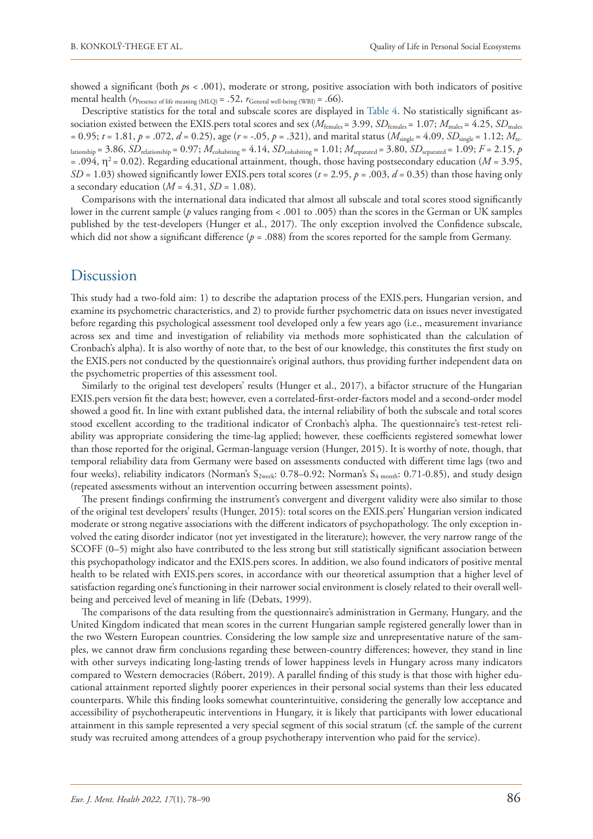showed a significant (both *p*s < .001), moderate or strong, positive association with both indicators of positive mental health ( $r_{\text{Presence of life meaning (MLQ)}} = .52$ ,  $r_{\text{General well-being (WBI)}} = .66$ ).

Descriptive statistics for the total and subscale scores are displayed in Table 4. No statistically significant association existed between the EXIS.pers total scores and sex ( $M_{\text{females}} = 3.99$ ,  $SD_{\text{females}} = 1.07$ ;  $M_{\text{males}} = 4.25$ ,  $SD_{\text{males}}$  $= 0.95$ ;  $t = 1.81$ ,  $p = .072$ ,  $d = 0.25$ ), age ( $r = -.05$ ,  $p = .321$ ), and marital status ( $M_{single} = 4.09$ ,  $SD_{single} = 1.12$ ;  $M_{rec}$ lationship = 3.86,  $SD$ <sub>relationship</sub> = 0.97;  $M$ <sub>cohabiting</sub> = 4.14,  $SD$ <sub>cohabiting</sub> = 1.01;  $M$ <sub>separated</sub> = 3.80,  $SD$ <sub>separated</sub> = 1.09;  $F$  = 2.15,  $p$  $= .094$ ,  $\eta^2 = 0.02$ ). Regarding educational attainment, though, those having postsecondary education (*M* = 3.95, *SD* = 1.03) showed significantly lower EXIS.pers total scores ( $t = 2.95$ ,  $p = .003$ ,  $d = 0.35$ ) than those having only a secondary education  $(M = 4.31, SD = 1.08)$ .

Comparisons with the international data indicated that almost all subscale and total scores stood significantly lower in the current sample (*p* values ranging from < .001 to .005) than the scores in the German or UK samples published by the test-developers (Hunger et al., 2017). The only exception involved the Confidence subscale, which did not show a significant difference ( $p = .088$ ) from the scores reported for the sample from Germany.

# Discussion

This study had a two-fold aim: 1) to describe the adaptation process of the EXIS.pers, Hungarian version, and examine its psychometric characteristics, and 2) to provide further psychometric data on issues never investigated before regarding this psychological assessment tool developed only a few years ago (i.e., measurement invariance across sex and time and investigation of reliability via methods more sophisticated than the calculation of Cronbach's alpha). It is also worthy of note that, to the best of our knowledge, this constitutes the first study on the EXIS.pers not conducted by the questionnaire's original authors, thus providing further independent data on the psychometric properties of this assessment tool.

Similarly to the original test developers' results (Hunger et al., 2017), a bifactor structure of the Hungarian EXIS.pers version fit the data best; however, even a correlated-first-order-factors model and a second-order model showed a good fit. In line with extant published data, the internal reliability of both the subscale and total scores stood excellent according to the traditional indicator of Cronbach's alpha. The questionnaire's test-retest reliability was appropriate considering the time-lag applied; however, these coefficients registered somewhat lower than those reported for the original, German-language version (Hunger, 2015). It is worthy of note, though, that temporal reliability data from Germany were based on assessments conducted with different time lags (two and four weeks), reliability indicators (Norman's  $S_{2 \text{ week}}$ : 0.78–0.92; Norman's  $S_{4 \text{ month}}$ : 0.71-0.85), and study design (repeated assessments without an intervention occurring between assessment points).

The present findings confirming the instrument's convergent and divergent validity were also similar to those of the original test developers' results (Hunger, 2015): total scores on the EXIS.pers' Hungarian version indicated moderate or strong negative associations with the different indicators of psychopathology. The only exception involved the eating disorder indicator (not yet investigated in the literature); however, the very narrow range of the SCOFF (0–5) might also have contributed to the less strong but still statistically significant association between this psychopathology indicator and the EXIS.pers scores. In addition, we also found indicators of positive mental health to be related with EXIS.pers scores, in accordance with our theoretical assumption that a higher level of satisfaction regarding one's functioning in their narrower social environment is closely related to their overall wellbeing and perceived level of meaning in life (Debats, 1999).

The comparisons of the data resulting from the questionnaire's administration in Germany, Hungary, and the United Kingdom indicated that mean scores in the current Hungarian sample registered generally lower than in the two Western European countries. Considering the low sample size and unrepresentative nature of the samples, we cannot draw firm conclusions regarding these between-country differences; however, they stand in line with other surveys indicating long-lasting trends of lower happiness levels in Hungary across many indicators compared to Western democracies (Róbert, 2019). A parallel finding of this study is that those with higher educational attainment reported slightly poorer experiences in their personal social systems than their less educated counterparts. While this finding looks somewhat counterintuitive, considering the generally low acceptance and accessibility of psychotherapeutic interventions in Hungary, it is likely that participants with lower educational attainment in this sample represented a very special segment of this social stratum (cf. the sample of the current study was recruited among attendees of a group psychotherapy intervention who paid for the service).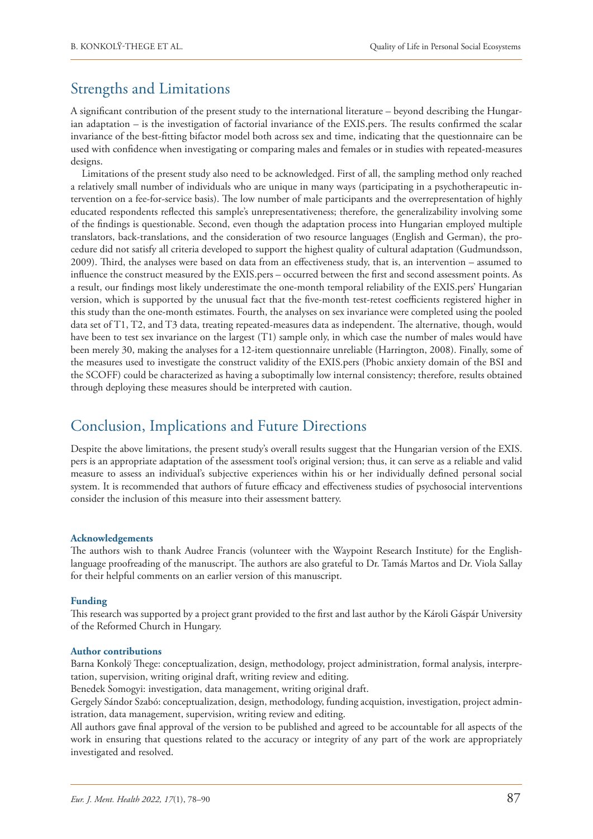# Strengths and Limitations

A significant contribution of the present study to the international literature – beyond describing the Hungarian adaptation – is the investigation of factorial invariance of the EXIS.pers. The results confirmed the scalar invariance of the best-fitting bifactor model both across sex and time, indicating that the questionnaire can be used with confidence when investigating or comparing males and females or in studies with repeated-measures designs.

Limitations of the present study also need to be acknowledged. First of all, the sampling method only reached a relatively small number of individuals who are unique in many ways (participating in a psychotherapeutic intervention on a fee-for-service basis). The low number of male participants and the overrepresentation of highly educated respondents reflected this sample's unrepresentativeness; therefore, the generalizability involving some of the findings is questionable. Second, even though the adaptation process into Hungarian employed multiple translators, back-translations, and the consideration of two resource languages (English and German), the procedure did not satisfy all criteria developed to support the highest quality of cultural adaptation (Gudmundsson, 2009). Third, the analyses were based on data from an effectiveness study, that is, an intervention – assumed to influence the construct measured by the EXIS.pers – occurred between the first and second assessment points. As a result, our findings most likely underestimate the one-month temporal reliability of the EXIS.pers' Hungarian version, which is supported by the unusual fact that the five-month test-retest coefficients registered higher in this study than the one-month estimates. Fourth, the analyses on sex invariance were completed using the pooled data set of T1, T2, and T3 data, treating repeated-measures data as independent. The alternative, though, would have been to test sex invariance on the largest (T1) sample only, in which case the number of males would have been merely 30, making the analyses for a 12-item questionnaire unreliable (Harrington, 2008). Finally, some of the measures used to investigate the construct validity of the EXIS.pers (Phobic anxiety domain of the BSI and the SCOFF) could be characterized as having a suboptimally low internal consistency; therefore, results obtained through deploying these measures should be interpreted with caution.

# Conclusion, Implications and Future Directions

Despite the above limitations, the present study's overall results suggest that the Hungarian version of the EXIS. pers is an appropriate adaptation of the assessment tool's original version; thus, it can serve as a reliable and valid measure to assess an individual's subjective experiences within his or her individually defined personal social system. It is recommended that authors of future efficacy and effectiveness studies of psychosocial interventions consider the inclusion of this measure into their assessment battery.

## **Acknowledgements**

The authors wish to thank Audree Francis (volunteer with the Waypoint Research Institute) for the Englishlanguage proofreading of the manuscript. The authors are also grateful to Dr. Tamás Martos and Dr. Viola Sallay for their helpful comments on an earlier version of this manuscript.

#### **Funding**

This research was supported by a project grant provided to the first and last author by the Károli Gáspár University of the Reformed Church in Hungary.

#### **Author contributions**

Barna Konkolÿ Thege: conceptualization, design, methodology, project administration, formal analysis, interpretation, supervision, writing original draft, writing review and editing.

Benedek Somogyi: investigation, data management, writing original draft.

Gergely Sándor Szabó: conceptualization, design, methodology, funding acquistion, investigation, project administration, data management, supervision, writing review and editing.

All authors gave final approval of the version to be published and agreed to be accountable for all aspects of the work in ensuring that questions related to the accuracy or integrity of any part of the work are appropriately investigated and resolved.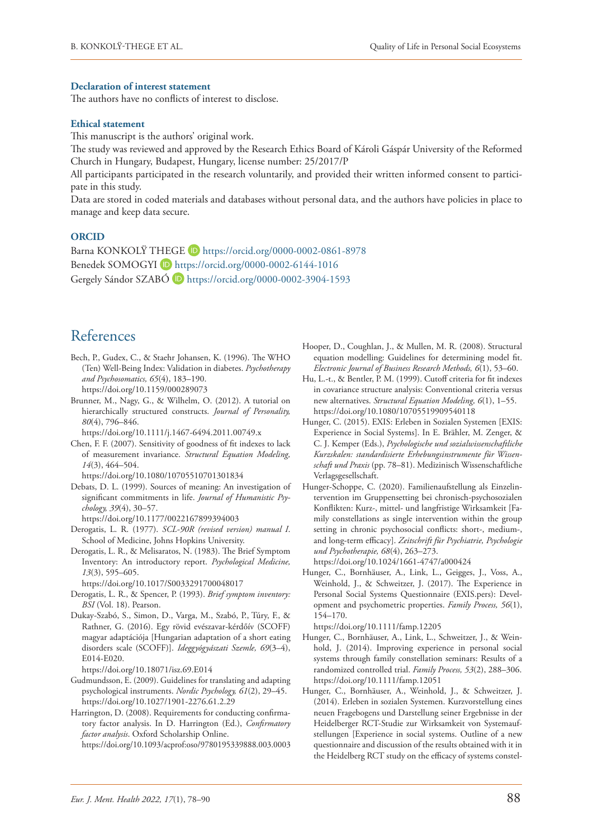#### **Declaration of interest statement**

The authors have no conflicts of interest to disclose.

## **Ethical statement**

This manuscript is the authors' original work.

The study was reviewed and approved by the Research Ethics Board of Károli Gáspár University of the Reformed Church in Hungary, Budapest, Hungary, license number: 25/2017/P

All participants participated in the research voluntarily, and provided their written informed consent to participate in this study.

Data are stored in coded materials and databases without personal data, and the authors have policies in place to manage and keep data secure.

## **ORCID**

Barna KONKOLŸ THEGE D <https://orcid.org/0000-0002-0861-8978> Benedek SOMOGYI D <https://orcid.org/0000-0002-6144-1016> Gergely Sándor SZABÓ (D <https://orcid.org/0000-0002-3904-1593>

# References

- Bech, P., Gudex, C., & Staehr Johansen, K. (1996). The WHO (Ten) Well-Being Index: Validation in diabetes. *Psychotherapy and Psychosomatics, 65*(4), 183–190. <https://doi.org/10.1159/000289073>
- Brunner, M., Nagy, G., & Wilhelm, O. (2012). A tutorial on hierarchically structured constructs. *Journal of Personality, 80*(4), 796–846.

<https://doi.org/10.1111/j.1467-6494.2011.00749.x>

Chen, F. F. (2007). Sensitivity of goodness of fit indexes to lack of measurement invariance. *Structural Equation Modeling, 14*(3), 464–504.

<https://doi.org/10.1080/10705510701301834>

Debats, D. L. (1999). Sources of meaning: An investigation of significant commitments in life. *Journal of Humanistic Psychology, 39*(4), 30–57.

<https://doi.org/10.1177/0022167899394003>

- Derogatis, L. R. (1977). *SCL-90R (revised version) manual I*. School of Medicine, Johns Hopkins University.
- Derogatis, L. R., & Melisaratos, N. (1983). The Brief Symptom Inventory: An introductory report. *Psychological Medicine, 13*(3), 595–605.
	- <https://doi.org/10.1017/S0033291700048017>
- Derogatis, L. R., & Spencer, P. (1993). *Brief symptom inventory: BSI* (Vol. 18). Pearson.
- Dukay-Szabó, S., Simon, D., Varga, M., Szabó, P., Túry, F., & Rathner, G. (2016). Egy rövid evészavar-kérdőív (SCOFF) magyar adaptációja [Hungarian adaptation of a short eating disorders scale (SCOFF)]. *Ideggyógyászati Szemle, 69*(3–4), E014-E020.

<https://doi.org/10.18071/isz.69.E014>

- Gudmundsson, E. (2009). Guidelines for translating and adapting psychological instruments. *Nordic Psychology, 61*(2), 29–45. <https://doi.org/10.1027/1901-2276.61.2.29>
- Harrington, D. (2008). Requirements for conducting confirmatory factor analysis. In D. Harrington (Ed.), *Confirmatory factor analysis*. Oxford Scholarship Online.

<https://doi.org/10.1093/acprof:oso/9780195339888.003.0003>

- Hooper, D., Coughlan, J., & Mullen, M. R. (2008). Structural equation modelling: Guidelines for determining model fit. *Electronic Journal of Business Research Methods, 6*(1), 53–60.
- Hu, L.-t., & Bentler, P. M. (1999). Cutoff criteria for fit indexes in covariance structure analysis: Conventional criteria versus new alternatives. *Structural Equation Modeling, 6*(1), 1–55. <https://doi.org/10.1080/10705519909540118>
- Hunger, C. (2015). EXIS: Erleben in Sozialen Systemen [EXIS: Experience in Social Systems]. In E. Brähler, M. Zenger, & C. J. Kemper (Eds.), *Psychologische und sozialwissenschaftliche Kurzskalen: standardisierte Erhebungsinstrumente für Wissenschaft und Praxis* (pp. 78–81). Medizinisch Wissenschaftliche Verlagsgesellschaft.
- Hunger-Schoppe, C. (2020). Familienaufstellung als Einzelintervention im Gruppensetting bei chronisch-psychosozialen Konflikten: Kurz-, mittel- und langfristige Wirksamkeit [Family constellations as single intervention within the group setting in chronic psychosocial conflicts: short-, medium-, and long-term efficacy]. *Zeitschrift für Psychiatrie, Psychologie und Psychotherapie, 68*(4), 263–273.

<https://doi.org/10.1024/1661-4747/a000424>

Hunger, C., Bornhäuser, A., Link, L., Geigges, J., Voss, A., Weinhold, J., & Schweitzer, J. (2017). The Experience in Personal Social Systems Questionnaire (EXIS.pers): Development and psychometric properties. *Family Process, 56*(1), 154–170.

<https://doi.org/10.1111/famp.12205>

- Hunger, C., Bornhäuser, A., Link, L., Schweitzer, J., & Weinhold, J. (2014). Improving experience in personal social systems through family constellation seminars: Results of a randomized controlled trial. *Family Process, 53*(2), 288–306. h[ttps://doi.org/10.1111/famp.12051](https://doi.org/10.1111/famp.12051)
- Hunger, C., Bornhäuser, A., Weinhold, J., & Schweitzer, J. (2014). Erleben in sozialen Systemen. Kurzvorstellung eines neuen Fragebogens und Darstellung seiner Ergebnisse in der Heidelberger RCT-Studie zur Wirksamkeit von Systemaufstellungen [Experience in social systems. Outline of a new questionnaire and discussion of the results obtained with it in the Heidelberg RCT study on the efficacy of systems constel-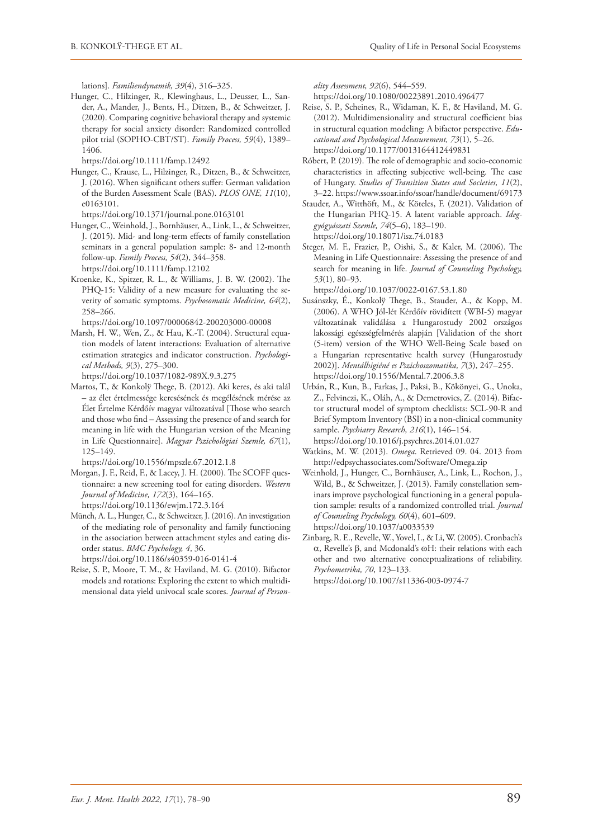lations]. *Familiendynamik, 39*(4), 316–325.

Hunger, C., Hilzinger, R., Klewinghaus, L., Deusser, L., Sander, A., Mander, J., Bents, H., Ditzen, B., & Schweitzer, J. (2020). Comparing cognitive behavioral therapy and systemic therapy for social anxiety disorder: Randomized controlled pilot trial (SOPHO-CBT/ST). *Family Process, 59*(4), 1389– 1406.

<https://doi.org/10.1111/famp.12492>

Hunger, C., Krause, L., Hilzinger, R., Ditzen, B., & Schweitzer, J. (2016). When significant others suffer: German validation of the Burden Assessment Scale (BAS). *PLOS ONE, 11*(10), e0163101.

<https://doi.org/10.1371/journal.pone.0163101>

- Hunger, C., Weinhold, J., Bornhäuser, A., Link, L., & Schweitzer, J. (2015). Mid- and long-term effects of family constellation seminars in a general population sample: 8- and 12-month follow-up. *Family Process, 54*(2), 344–358. <https://doi.org/10.1111/famp.12102>
- Kroenke, K., Spitzer, R. L., & Williams, J. B. W. (2002). The PHQ-15: Validity of a new measure for evaluating the severity of somatic symptoms. *Psychosomatic Medicine, 64*(2), 258–266.

<https://doi.org/10.1097/00006842-200203000-00008>

- Marsh, H. W., Wen, Z., & Hau, K.-T. (2004). Structural equation models of latent interactions: Evaluation of alternative estimation strategies and indicator construction. *Psychological Methods, 9*(3), 275–300. <https://doi.org/10.1037/1082-989X.9.3.275>
- Martos, T., & Konkolÿ Thege, B. (2012). Aki keres, és aki talál – az élet értelmessége keresésének és megélésének mérése az Élet Értelme Kérdőív magyar változatával [Those who search and those who find – Assessing the presence of and search for meaning in life with the Hungarian version of the Meaning in Life Questionnaire]. *Magyar Pszichológiai Szemle, 67*(1), 125–149.

<https://doi.org/10.1556/mpszle.67.2012.1.8>

- Morgan, J. F., Reid, F., & Lacey, J. H. (2000). The SCOFF questionnaire: a new screening tool for eating disorders. *Western Journal of Medicine, 172*(3), 164–165. <https://doi.org/10.1136/ewjm.172.3.164>
- Münch, A. L., Hunger, C., & Schweitzer, J. (2016). An investigation of the mediating role of personality and family functioning in the association between attachment styles and eating disorder status. *BMC Psychology, 4*, 36.

<https://doi.org/10.1186/s40359-016-0141-4>

Reise, S. P., Moore, T. M., & Haviland, M. G. (2010). Bifactor models and rotations: Exploring the extent to which multidimensional data yield univocal scale scores. *Journal of Person-* *ality Assessment, 92*(6), 544–559.

<https://doi.org/10.1080/00223891.2010.496477>

- Reise, S. P., Scheines, R., Widaman, K. F., & Haviland, M. G. (2012). Multidimensionality and structural coefficient bias in structural equation modeling: A bifactor perspective. *Educational and Psychological Measurement, 73*(1), 5–26. <https://doi.org/10.1177/0013164412449831>
- Róbert, P. (2019). The role of demographic and socio-economic characteristics in affecting subjective well-being. The case of Hungary. *Studies of Transition States and Societies, 11*(2), 3–22. https://www.ssoar.info/ssoar/handle/document/69173
- Stauder, A., Witthöft, M., & Köteles, F. (2021). Validation of the Hungarian PHQ-15. A latent variable approach. *Ideggyógyászati Szemle, 74*(5–6), 183–190. <https://doi.org/10.18071/isz.74.0183>
- Steger, M. F., Frazier, P., Oishi, S., & Kaler, M. (2006). The Meaning in Life Questionnaire: Assessing the presence of and search for meaning in life. *Journal of Counseling Psychology, 53*(1), 80–93.

<https://doi.org/10.1037/0022-0167.53.1.80>

- Susánszky, É., Konkolÿ Thege, B., Stauder, A., & Kopp, M. (2006). A WHO Jól-lét Kérdőív rövidített (WBI-5) magyar változatának validálása a Hungarostudy 2002 országos lakossági egészségfelmérés alapján [Validation of the short (5-item) version of the WHO Well-Being Scale based on a Hungarian representative health survey (Hungarostudy 2002)]. *Mentálhigiéné es Pszichoszomatika, 7*(3), 247–255. <https://doi.org/10.1556/Mental.7.2006.3.8>
- Urbán, R., Kun, B., Farkas, J., Paksi, B., Kökönyei, G., Unoka, Z., Felvinczi, K., Oláh, A., & Demetrovics, Z. (2014). Bifactor structural model of symptom checklists: SCL-90-R and Brief Symptom Inventory (BSI) in a non-clinical community sample. *Psychiatry Research, 216*(1), 146–154. <https://doi.org/10.1016/j.psychres.2014.01.027>
- Watkins, M. W. (2013). *Omega*. Retrieved 09. 04. 2013 from <http://edpsychassociates.com/Software/Omega.zip>
- Weinhold, J., Hunger, C., Bornhäuser, A., Link, L., Rochon, J., Wild, B., & Schweitzer, J. (2013). Family constellation seminars improve psychological functioning in a general population sample: results of a randomized controlled trial. *Journal of Counseling Psychology, 60*(4), 601–609. <https://doi.org/10.1037/a0033539>
- Zinbarg, R. E., Revelle, W., Yovel, I., & Li, W. (2005). Cronbach's  $α$ , Revelle's  $β$ , and Mcdonald's  $ωH$ : their relations with each other and two alternative conceptualizations of reliability. *Psychometrika, 70*, 123–133.

<https://doi.org/10.1007/s11336-003-0974-7>